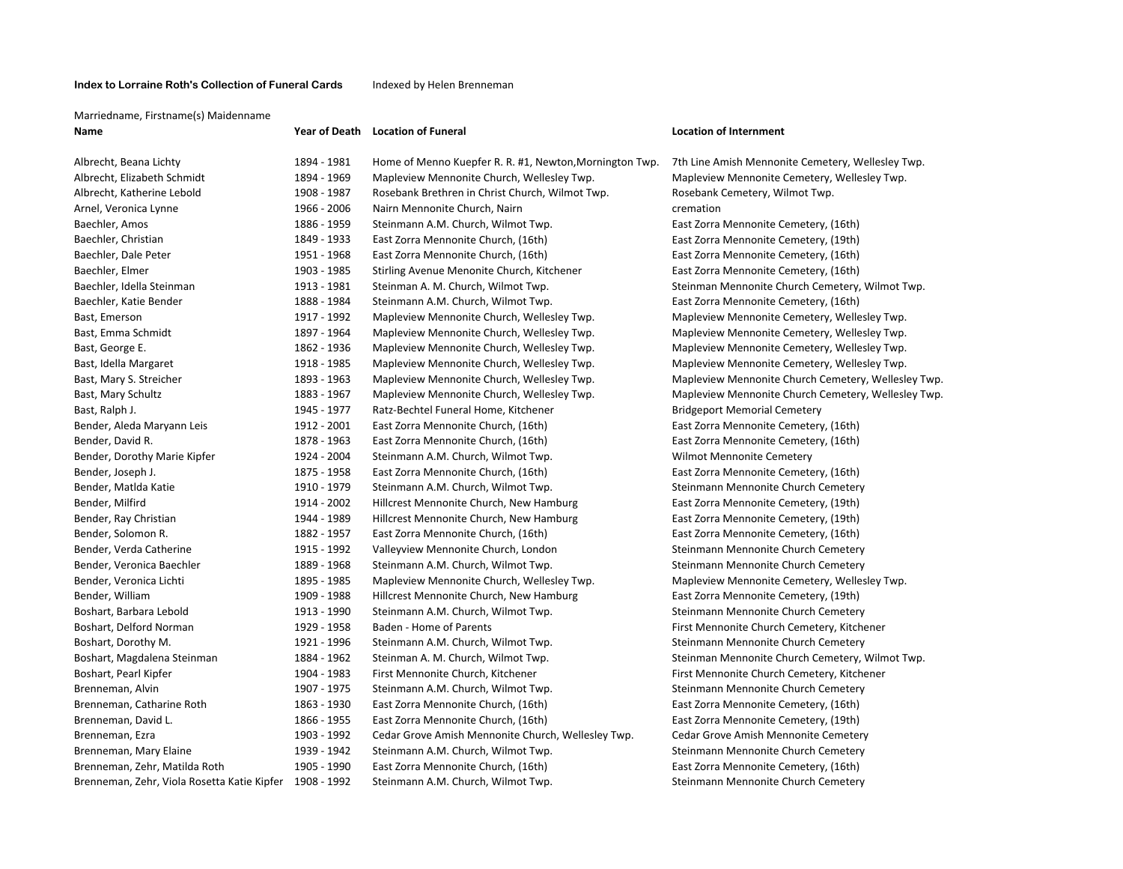### **Index to Lorraine Roth's Collection of Funeral Cards**

#### Indexed by Helen Brenneman

#### Marriedname, Firstname(s) Maidenname

**Name** 

| Albrecht, Beana Lichty                                   | 1894 - 1981 |
|----------------------------------------------------------|-------------|
| Albrecht, Elizabeth Schmidt                              | 1894 - 1969 |
| Albrecht, Katherine Lebold                               | 1908 - 1987 |
| Arnel, Veronica Lynne                                    | 1966 - 2006 |
| Baechler, Amos                                           | 1886 - 1959 |
| Baechler, Christian                                      | 1849 - 1933 |
| Baechler, Dale Peter                                     | 1951 - 1968 |
| Baechler, Elmer                                          | 1903 - 1985 |
| Baechler, Idella Steinman                                | 1913 - 1981 |
| Baechler, Katie Bender                                   | 1888 - 1984 |
| Bast, Emerson                                            | 1917 - 1992 |
| Bast, Emma Schmidt                                       | 1897 - 1964 |
| Bast, George E.                                          | 1862 - 1936 |
| Bast, Idella Margaret                                    | 1918 - 1985 |
| Bast, Mary S. Streicher                                  | 1893 - 1963 |
| Bast, Mary Schultz                                       | 1883 - 1967 |
| Bast, Ralph J.                                           | 1945 - 1977 |
| Bender, Aleda Maryann Leis                               | 1912 - 2001 |
| Bender, David R.                                         | 1878 - 1963 |
| Bender, Dorothy Marie Kipfer                             | 1924 - 2004 |
| Bender, Joseph J.                                        | 1875 - 1958 |
| Bender, Matlda Katie                                     | 1910 - 1979 |
| Bender, Milfird                                          | 1914 - 2002 |
| Bender, Ray Christian                                    | 1944 - 1989 |
| Bender, Solomon R.                                       | 1882 - 1957 |
| Bender, Verda Catherine                                  | 1915 - 1992 |
| Bender, Veronica Baechler                                | 1889 - 1968 |
| Bender, Veronica Lichti                                  | 1895 - 1985 |
| Bender, William                                          | 1909 - 1988 |
| Boshart, Barbara Lebold                                  | 1913 - 1990 |
| Boshart, Delford Norman                                  | 1929 - 1958 |
| Boshart, Dorothy M.                                      | 1921 - 1996 |
| Boshart, Magdalena Steinman                              | 1884 - 1962 |
| Boshart, Pearl Kipfer                                    | 1904 - 1983 |
| Brenneman, Alvin                                         | 1907 - 1975 |
| Brenneman, Catharine Roth                                | 1863 - 1930 |
| Brenneman, David L.                                      | 1866 - 1955 |
| Brenneman, Ezra                                          | 1903 - 1992 |
| Brenneman, Mary Elaine                                   | 1939 - 1942 |
| Brenneman, Zehr, Matilda Roth                            | 1905 - 1990 |
| Rrenneman, Zehr, Viola Rosetta Katie Kinfer, 1908 - 1992 |             |

# **of Death Location**

## **of Funeral Location of Internment**

Home of Menno Kuepfer R. R. #1, Newton,Mornington Twp. 7th Line Amish Mennonite Cemetery, Wellesley Twp. Mapleview Mennonite Church, Wellesley Twp. Mapleview Mennonite Cemetery, Wellesley Twp. Rosebank Brethren in Christ Church, Wilmot Twp. **Rosebank Cemetery, Wilmot Twp.** Nairn Mennonite Church, Nairn **1966 · 2006 · 2006 · 2006 · 2006 · 2006 · 2006 · 2006** · 2006 · 2016 · 2016 · 20 Steinmann A.M. Church, Wilmot Twp. **East Zorra Mennonite Cemetery**, (16th) East Zorra Mennonite Church, (16th) **East Zorra Mennonite Cemetery, (19th)** East Zorra Mennonite Cemetery, (19th) East Zorra Mennonite Church, (16th) **East Zorra Mennonite Cemetery, (16th)** East Zorra Mennonite Cemetery, (16th) Stirling Avenue Menonite Church, Kitchener **East Zorra Mennonite Cemetery**, (16th) Baechler, Idella Steinman 1913 ‐ 1981 Steinman A. M. Church, Wilmot Twp. Steinman Mennonite Church Cemetery, Wilmot Twp. Steinmann A.M. Church, Wilmot Twp. **East Zorra Mennonite Cemetery**, (16th) Mapleview Mennonite Church, Wellesley Twp. Mapleview Mennonite Cemetery, Wellesley Twp. Mapleview Mennonite Church, Wellesley Twp. Mapleview Mennonite Cemetery, Wellesley Twp. Mapleview Mennonite Church, Wellesley Twp. Mapleview Mennonite Cemetery, Wellesley Twp. Basterie Wennonite Church, Wellesley Twp. Mapleview Mennonite Cemetery, Wellesley Twp. Mapleview Mennonite Church, Wellesley Twp. **Mapleview Mennonite Church Cemetery, Wellesley Twp.** Mapleview Mennonite Church Cemetery, Wellesley Twp. Mapleview Mennonite Church, Wellesley Twp. Mapleview Mennonite Church Cemetery, Wellesley Twp. Ratz-Bechtel Funeral Home, Kitchener **B. 1976 F. 1978 E. 1978** Fidgeport Memorial Cemetery East Zorra Mennonite Church, (16th) **East Zorra Mennonite Cemetery**, (16th) East Zorra Mennonite Church, (16th) **East Zorra Mennonite Cemetery**, (16th) Steinmann A.M. Church, Wilmot Twp. No. 1924 **Wilmot Mennonite Cemetery** East Zorra Mennonite Church, (16th) **East Zorra Mennonite Cemetery**, (16th) Steinmann A.M. Church, Wilmot Twp. Steinmann Mennonite Church Cemetery Hillcrest Mennonite Church, New Hamburg **East Zorra Mennonite Cemetery**, (19th) Hillcrest Mennonite Church, New Hamburg **East Zorra Mennonite Cemetery**, (19th) East Zorra Mennonite Church, (16th) **East Zorra Mennonite Cemetery, (16th)** East Zorra Mennonite Cemetery, (16th) Valleyview Mennonite Church, London Steinmann Mennonite Church Cemetery Steinmann A.M. Church, Wilmot Twp. Steinmann Mennonite Church Cemetery Mapleview Mennonite Church, Wellesley Twp. Mapleview Mennonite Cemetery, Wellesley Twp. Hillcrest Mennonite Church, New Hamburg **East Zorra Mennonite Cemetery**, (19th) Steinmann A.M. Church, Wilmot Twp. Steinmann Mennonite Church Cemetery Baden - Home of Parents **Example 2020** First Mennonite Church Cemetery, Kitchener Steinmann A.M. Church, Wilmot Twp. 1922 **Steinmann Mennonite Church Cemetery** Steinman A. M. Church, Wilmot Twp. Steinman Mennonite Church Cemetery, Wilmot Twp. Steinman Mennonite Church Cemetery, Wilmot Twp. Boshart, Pearl Kipfer 1904 ‐ 1983 First Mennonite Church, Kitchener First Mennonite Church Cemetery, Kitchener Steinmann A.M. Church, Wilmot Twp. Steinmann Mennonite Church Cemetery East Zorra Mennonite Church, (16th) **East Zorra Mennonite Cemetery**, (16th) East Zorra Mennonite Church, (16th) **East Zorra Mennonite Cemetery**, (19th) Cedar Grove Amish Mennonite Church, Wellesley Twp. Cedar Grove Amish Mennonite Cemetery Steinmann A.M. Church, Wilmot Twp. Steinmann Mennonite Church Cemetery East Zorra Mennonite Church, (16th) **East Zorra Mennonite Cemetery, (16th**) East Zorra Mennonite Cemetery, (16th) n, Zehr, Viola Rosetta Katie Kipfer 1908 - 1992 Steinmann A.M. Church, Wilmot Twp. Steinmann Mennonite Church Cemetery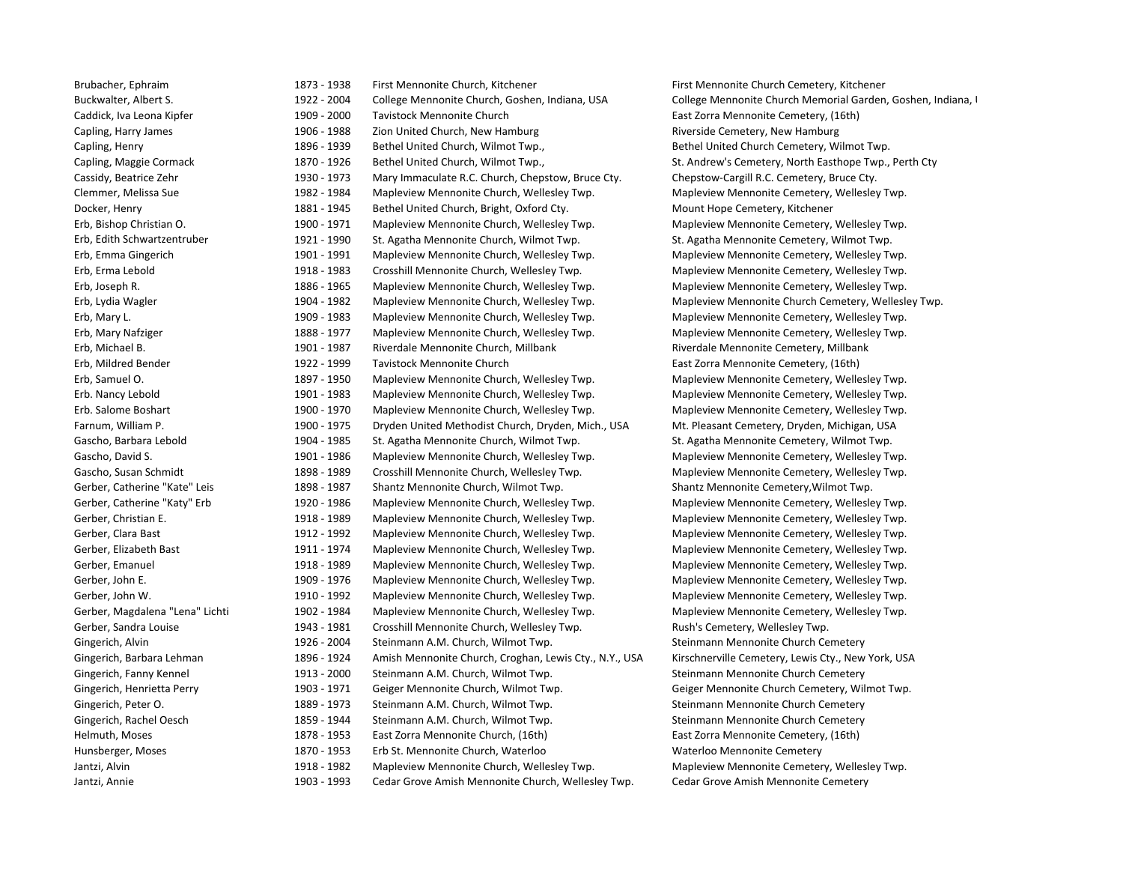Erb. Nancy Lebold Erb. Salome

Brubacher, Ephraim 1873 - 1873 - 1938 First Mennonite Church, Kitchener First Mennonite Church Cemetery, Kitchener Buckwalter, Albert S. 1922 - 2004 College Mennonite Church, Goshen, Indiana, USA College Mennonite Church Memorial Garden, Goshen, Indiana, I Caddick, Iva Leona Kipfer 1909 - 2000 Tavistock Mennonite Church East Zorra Mennonite Cemetery, (16th) Capling, Harry James 1906 - 1988 Zion United Church, New Hamburg Riverside Cemetery, New Hamburg Riverside Cemetery, New Hamburg Capling, Henry 1896 - 1939 Bethel United Church, Wilmot Twp., Bethel United Church Cemetery, Wilmot Twp. Capling, Maggie Cormack 1870 - 1926 Bethel United Church, Wilmot Twp., St. Andrew's Cemetery, North Easthope Twp., Perth Cty Cassidy, Beatrice Zehr 1930 ‐ 1973 Mary Immaculate R.C. Church, Chepstow, Bruce Cty. Chepstow‐Cargill R.C. Cemetery, Bruce Cty. Clemmer, Melissa Sue 1982 - 1982 - 1984 Mapleview Mennonite Church, Wellesley Twp. Napleview Mennonite Cemetery, Wellesley Twp. Docker, Henry 1881 - 1945 Bethel United Church, Bright, Oxford Cty. Mount Hope Cemetery, Kitchener Erb, Bishop Christian O. 1971 Mapleview Mennonite Church, Wellesley Twp. Mapleview Mennonite Cemetery, Wellesley Twp. Erb, Edith Schwartzentruber 1921 ‐ 1990 St. Agatha Mennonite Church, Wilmot Twp. St. Agatha Mennonite Cemetery, Wilmot Twp. Erb, Emma Gingerich **1991 · 1991 · 1991** Mapleview Mennonite Church, Wellesley Twp. Mapleview Mennonite Cemetery, Wellesley Twp. Erb, Erma Lebold 1918 ‐ 1983 Crosshill Mennonite Church, Wellesley Twp. Mapleview Mennonite Cemetery, Wellesley Twp. Erb, Joseph R. 1886 ‐ 1965 Mapleview Mennonite Church, Wellesley Twp. Mapleview Mennonite Cemetery, Wellesley Twp. Erb, Lydia Wagler **1982 Erb, Lydia Wagleview Mennonite Church, Wellesley Twp.** Mapleview Mennonite Church Cemetery, Wellesley Twp. Erb, Mary L. 1983 Mapleview Mennonite Church, Wellesley Twp. Mapleview Mennonite Cemetery, Wellesley Twp. Erb, Mary Nafziger 1888 ‐ 1977 Mapleview Mennonite Church, Wellesley Twp. Mapleview Mennonite Cemetery, Wellesley Twp. Erb, Michael B. 1901 ‐ 1987 Riverdale Mennonite Church, Millbank Riverdale Mennonite Cemetery, Millbank Erb, Mildred Bender 1922 – 1922 - 1999 Tavistock Mennonite Church East Zorra Mennonite Cemetery, (16th) Erb, Samuel O. 1897 - 1950 Mapleview Mennonite Church, Wellesley Twp. Mapleview Mennonite Cemetery, Wellesley Twp. 1901 - 1983 Mapleview Mennonite Church, Wellesley Twp. Mapleview Mennonite Cemetery, Wellesley Twp. 1900 - 1970 Mapleview Mennonite Church, Wellesley Twp. Mapleview Mennonite Cemetery, Wellesley Twp. Farnum, William P. 1900 - 1975 Dryden United Methodist Church, Dryden, Mich., USA Mt. Pleasant Cemetery, Dryden, Michigan, USA Gascho, Barbara Lebold 1904 - 1904 - 1985 St. Agatha Mennonite Church, Wilmot Twp. St. Agatha Mennonite Cemetery, Wilmot Twp. Gascho, David S. 1901 - 1986 Mapleview Mennonite Church, Wellesley Twp. Mapleview Mennonite Cemetery, Wellesley Twp. Gascho, Susan Schmidt **1898 - 1989** Crosshill Mennonite Church, Wellesley Twp. Mapleview Mennonite Cemetery, Wellesley Twp. Gerber, Catherine "Kate" Leis 1898 - 1898 - 1987 Shantz Mennonite Church, Wilmot Twp. Shantz Mennonite Cemetery, Wilmot Twp. Gerber, Catherine "Katy" Erb 1920 - 1920 - 1986 Mapleview Mennonite Church, Wellesley Twp. Mapleview Mennonite Cemetery, Wellesley Twp. Gerber, Christian E. 1989 Mapleview Mennonite Church, Wellesley Twp. Mapleview Mennonite Cemetery, Wellesley Twp. Gerber, Clara Bast 1902 **Mapleview Mennonite Church, Wellesley Twp.** Mapleview Mennonite Cemetery, Wellesley Twp. Gerber, Elizabeth Bast 1974 1974 Mapleview Mennonite Church, Wellesley Twp. Mapleview Mennonite Cemetery, Wellesley Twp. Gerber, Emanuel 1988 **Mapleview Mennonite Church, Wellesley Twp.** Mapleview Mennonite Cemetery, Wellesley Twp. Gerber, John E. 1909 - 1976 Mapleview Mennonite Church, Wellesley Twp. Mapleview Mennonite Cemetery, Wellesley Twp. Gerber, John W. 1910 - 1992 Mapleview Mennonite Church, Wellesley Twp. Mapleview Mennonite Cemetery, Wellesley Twp. Gerber, Magdalena "Lena" Lichti 1902 - 1984 Mapleview Mennonite Church, Wellesley Twp. Mapleview Mennonite Cemetery, Wellesley Twp. Gerber, Sandra Louise 1943 - 1943 - 1981 Crosshill Mennonite Church, Wellesley Twp. Rush's Cemetery, Wellesley Twp. Gingerich, Alvin 1926 – 2004 Steinmann A.M. Church, Wilmot Twp. Steinmann Mennonite Church Cemetery Gingerich, Barbara Lehman 1896 - 1924 Amish Mennonite Church, Croghan, Lewis Cty., N.Y., USA Kirschnerville Cemetery, Lewis Cty., New York, USA Gingerich, Fanny Kennel 1913 - 2000 Steinmann A.M. Church, Wilmot Twp. Steinmann Mennonite Church Cemetery Cemetery Gingerich, Henrietta Perry **1903 - 1971** Geiger Mennonite Church, Wilmot Twp. Geiger Mennonite Church Cemetery, Wilmot Twp. Gingerich, Peter O. 1889 - 1973 Steinmann A.M. Church, Wilmot Twp. Steinmann Mennonite Church Cemetery Gingerich, Rachel Oesch 1859 - 1944 Steinmann A.M. Church, Wilmot Twp. Steinmann Mennonite Church Cemetery Helmuth, Moses **1878 - 1953** East Zorra Mennonite Church, (16th) East Zorra Mennonite Cemetery, (16th) Hunsberger, Moses **1870 - 1953** Erb St. Mennonite Church, Waterloo Waterloo Waterloo Mennonite Cemetery Jantzi, Alvin 1918 ‐ 1982 Mapleview Mennonite Church, Wellesley Twp. Mapleview Mennonite Cemetery, Wellesley Twp. Jantzi, Annie 1903 **· 1993** Cedar Grove Amish Mennonite Church, Wellesley Twp. Cedar Grove Amish Mennonite Cemetery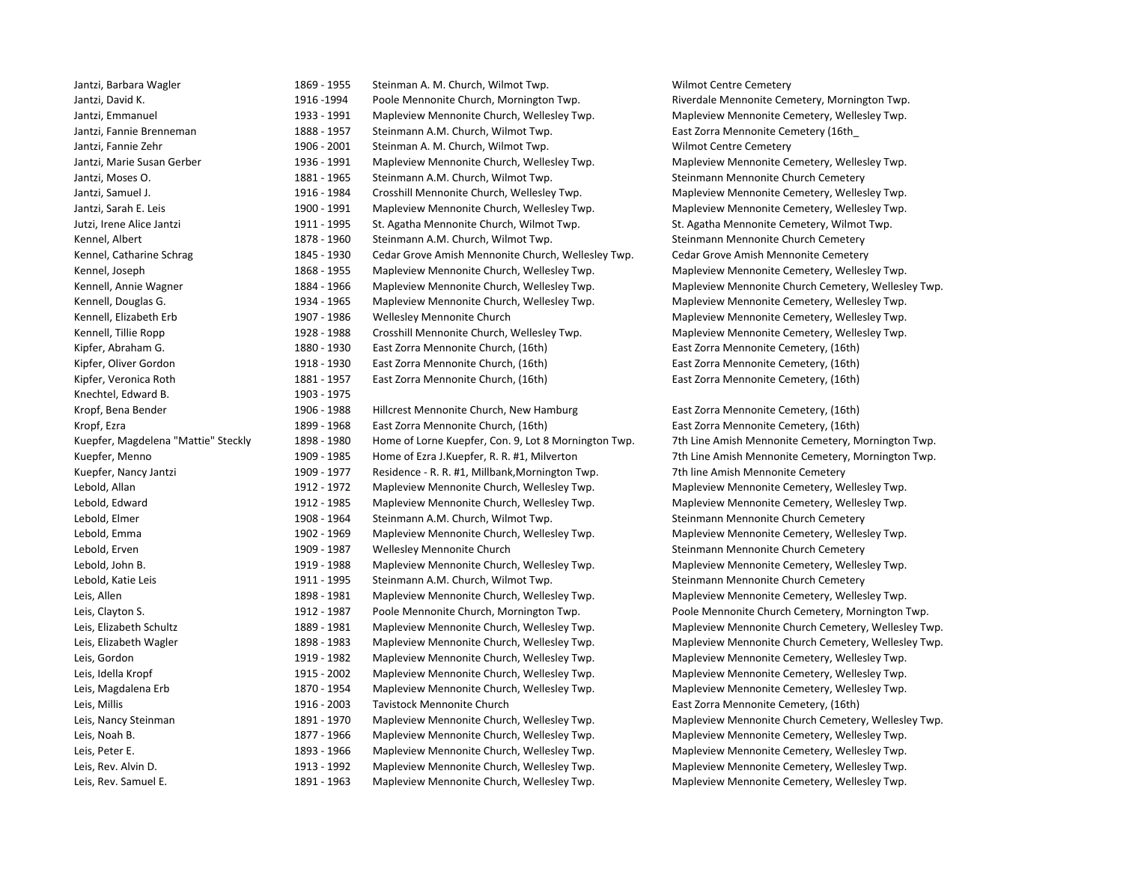| Jantzi, Barbara Wagler              |  |
|-------------------------------------|--|
| Jantzi, David K.                    |  |
| Jantzi, Emmanuel                    |  |
| Jantzi, Fannie Brenneman            |  |
| Jantzi, Fannie Zehr                 |  |
| Jantzi, Marie Susan Gerber          |  |
| Jantzi, Moses O.                    |  |
| Jantzi, Samuel J.                   |  |
| Jantzi, Sarah E. Leis               |  |
| Jutzi, Irene Alice Jantzi           |  |
| Kennel, Albert                      |  |
| Kennel, Catharine Schrag            |  |
| Kennel, Joseph                      |  |
| Kennell, Annie Wagner               |  |
| Kennell, Douglas G.                 |  |
| Kennell, Elizabeth Erb              |  |
| Kennell, Tillie Ropp                |  |
| Kipfer, Abraham G.                  |  |
| Kipfer, Oliver Gordon               |  |
| Kipfer, Veronica Roth               |  |
| Knechtel, Edward B.                 |  |
| Kropf, Bena Bender                  |  |
| Kropf, Ezra                         |  |
| Kuepfer, Magdelena "Mattie" Steckly |  |
| Kuepfer, Menno                      |  |
| Kuepfer, Nancy Jantzi               |  |
| Lebold, Allan                       |  |
| Lebold, Edward                      |  |
| Lebold, Elmer                       |  |
| Lebold, Emma                        |  |
| Lebold, Erven                       |  |
| Lebold, John B.                     |  |
| Lebold, Katie Leis                  |  |
| Leis, Allen                         |  |
| Leis, Clayton S.                    |  |
| Leis, Elizabeth Schultz             |  |
| Leis, Elizabeth Wagler              |  |
| Leis, Gordon                        |  |
| Leis, Idella Kropf                  |  |
| Leis, Magdalena Erb                 |  |
| Leis, Millis                        |  |
| Leis, Nancy Steinman                |  |
| Leis, Noah B.                       |  |
| Leis, Peter E.                      |  |
| Leis, Rev. Alvin D.                 |  |
| Lois Roy Samuel E                   |  |

1869 - 1955 Steinman A. M. Church, Wilmot Twp. Wilmot Centre Cemetery 1916 -1994 Poole Mennonite Church, Mornington Twp. Riverdale Mennonite Cemetery, Mornington Twp. 1933 - 1991 Mapleview Mennonite Church, Wellesley Twp. Mapleview Mennonite Cemetery, Wellesley Twp. 1888 - 1957 Steinmann A.M. Church, Wilmot Twp. East Zorra Mennonite Cemetery (16th 1906 - 2001 Steinman A. M. Church, Wilmot Twp. Wilmot Centre Cemetery 1936 - 1991 Mapleview Mennonite Church, Wellesley Twp. Mapleview Mennonite Cemetery, Wellesley Twp. 1881 - 1965 Steinmann A.M. Church, Wilmot Twp. Steinmann Mennonite Church Cemetery 1916 - 1984 Crosshill Mennonite Church, Wellesley Twp. Mapleview Mennonite Cemetery, Wellesley Twp. 1900 - 1991 Mapleview Mennonite Church, Wellesley Twp. Mapleview Mennonite Cemetery, Wellesley Twp. 1911 - 1995 St. Agatha Mennonite Church, Wilmot Twp. St. Agatha Mennonite Cemetery, Wilmot Twp. 1878 - 1960 Steinmann A.M. Church. Wilmot Twp. Steinmann Mennonite Church Cemetery 1845 - 1930 Cedar Grove Amish Mennonite Church, Wellesley Twp. Cedar Grove Amish Mennonite Cemetery 1868 - 1955 Mapleview Mennonite Church, Wellesley Twp. Mapleview Mennonite Cemetery, Wellesley Twp. 1884 - 1966 Mapleview Mennonite Church, Wellesley Twp. Mapleview Mennonite Church Cemetery, Wellesley Twp. 1934 - 1965 Mapleview Mennonite Church, Wellesley Twp. Mapleview Mennonite Cemetery, Wellesley Twp. 1907 - 1986 Wellesley Mennonite Church **Erb 1907 · 1986** Wellesley Twp. 1928 - 1988 Crosshill Mennonite Church, Wellesley Twp. Mapleview Mennonite Cemetery, Wellesley Twp. 1880 - 1930 East Zorra Mennonite Church, (16th) East Zorra Mennonite Cemetery, (16th) 1918 - 1930 East Zorra Mennonite Church, (16th) East Zorra Mennonite Cemetery, (16th) 1881 - 1957 East Zorra Mennonite Church, (16th) East Zorra Mennonite Cemetery, (16th) 1903 - 1975 1906 - 1988 Hillcrest Mennonite Church, New Hamburg East Zorra Mennonite Cemetery, (16th) 1899 - 1968 East Zorra Mennonite Church, (16th) East Zorra Mennonite Cemetery, (16th) 1898 - 1980 Home of Lorne Kuepfer, Con. 9, Lot 8 Mornington Twp. 7th Line Amish Mennonite Cemetery, Mornington Twp. 1909 - 1985 Home of Ezra J.Kuepfer, R. R. #1, Milverton 7th Line Amish Mennonite Cemetery, Mornington Twp. 1909 - 1977 Residence - R. R. #1, Millbank,Mornington Twp. 7th line Amish Mennonite Cemetery 1912 - 1972 Mapleview Mennonite Church, Wellesley Twp. Mapleview Mennonite Cemetery, Wellesley Twp. 1912 - 1985 Mapleview Mennonite Church, Wellesley Twp. Mapleview Mennonite Cemetery, Wellesley Twp. 1908 - 1964 Steinmann A.M. Church, Wilmot Twp. Steinmann Mennonite Church Cemetery 1902 - 1969 Mapleview Mennonite Church, Wellesley Twp. Mapleview Mennonite Cemetery, Wellesley Twp. Lebold, Erven 1909 ‐ 1987 Wellesley Mennonite Church Steinmann Mennonite Church Cemetery 1919 - 1988 Mapleview Mennonite Church, Wellesley Twp. Mapleview Mennonite Cemetery, Wellesley Twp. 1911 - 1995 Steinmann A.M. Church, Wilmot Twp. Steinmann Mennonite Church Cemetery 1898 - 1981 Mapleview Mennonite Church, Wellesley Twp. Mapleview Mennonite Cemetery, Wellesley Twp. 1912 - 1987 Poole Mennonite Church, Mornington Twp. Poole Mennonite Church Cemetery, Mornington Twp. 1889 - 1981 Mapleview Mennonite Church, Wellesley Twp. Mapleview Mennonite Church Cemetery, Wellesley Twp. 1898 - 1983 Mapleview Mennonite Church, Wellesley Twp. Mapleview Mennonite Church Cemetery, Wellesley Twp. 1919 - 1982 Mapleview Mennonite Church, Wellesley Twp. Mapleview Mennonite Cemetery, Wellesley Twp. 1915 - 2002 Mapleview Mennonite Church, Wellesley Twp. Mapleview Mennonite Cemetery, Wellesley Twp. 1870 - 1954 Mapleview Mennonite Church, Wellesley Twp. Mapleview Mennonite Cemetery, Wellesley Twp. 1916 - 2003 Tavistock Mennonite Church East Zorra Mennonite Cemetery, (16th) 1891 - 1970 Mapleview Mennonite Church, Wellesley Twp. Mapleview Mennonite Church Cemetery, Wellesley Twp. 1877 - 1966 Mapleview Mennonite Church, Wellesley Twp. Mapleview Mennonite Cemetery, Wellesley Twp.

1893 - 1966 Mapleview Mennonite Church, Wellesley Twp. Mapleview Mennonite Cemetery, Wellesley Twp. Leis, Rev. Alvin D. 1913 ‐ 1992 Mapleview Mennonite Church, Wellesley Twp. Mapleview Mennonite Cemetery, Wellesley Twp. Leis, Rev. Samuel E. 1891 ‐ 1963 Mapleview Mennonite Church, Wellesley Twp. Mapleview Mennonite Cemetery, Wellesley Twp.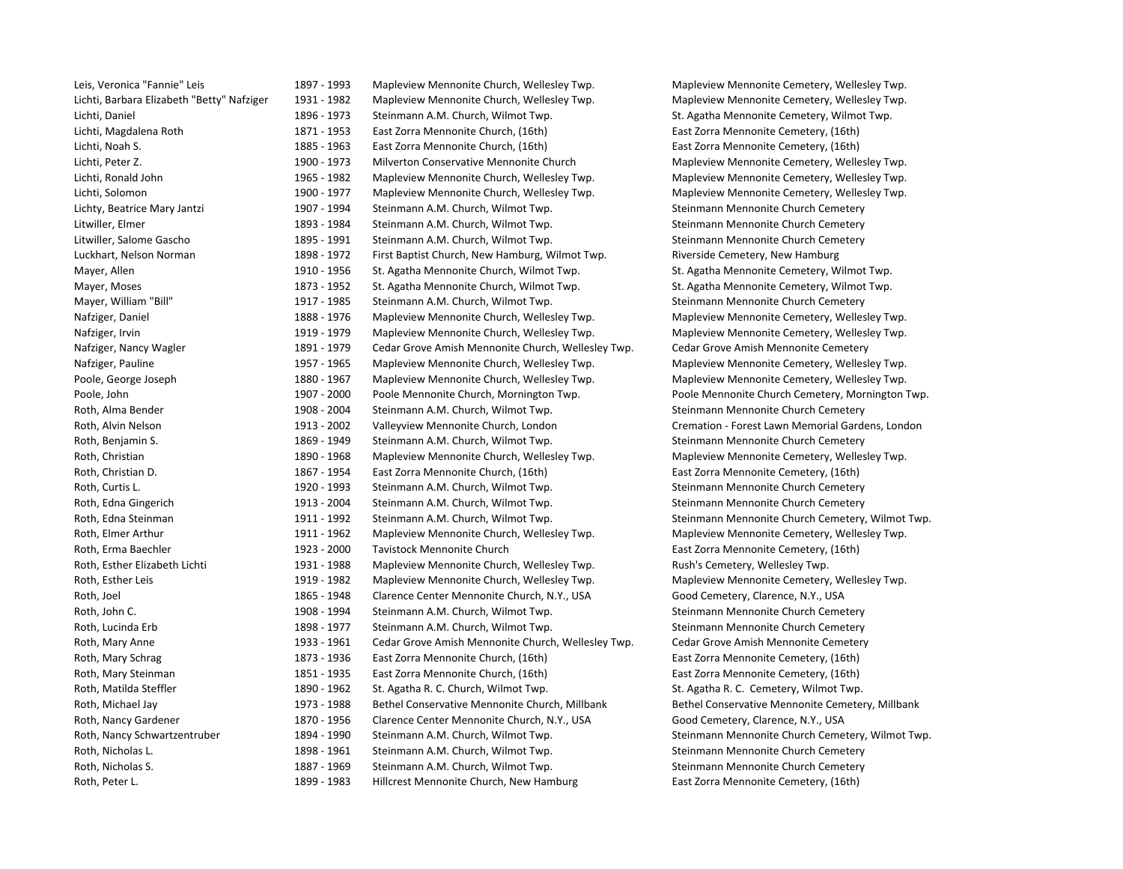| Leis, Veronica "Fannie" Leis               |
|--------------------------------------------|
| Lichti, Barbara Elizabeth "Betty" Nafziger |
| Lichti, Daniel                             |
| Lichti, Magdalena Roth                     |
| Lichti, Noah S.                            |
| Lichti, Peter Z.                           |
| Lichti, Ronald John                        |
| Lichti, Solomon                            |
| Lichty, Beatrice Mary Jantzi               |
| Litwiller, Elmer                           |
| Litwiller, Salome Gascho                   |
| Luckhart, Nelson Norman                    |
| Mayer, Allen                               |
| Mayer, Moses                               |
| Mayer, William "Bill"                      |
| Nafziger, Daniel                           |
| Nafziger, Irvin                            |
| Nafziger, Nancy Wagler                     |
| Nafziger, Pauline                          |
| Poole, George Joseph                       |
| Poole, John                                |
| Roth, Alma Bender                          |
| Roth, Alvin Nelson                         |
| Roth, Benjamin S.                          |
| Roth, Christian                            |
| Roth, Christian D.                         |
| Roth, Curtis L.                            |
| Roth, Edna Gingerich                       |
| Roth, Edna Steinman                        |
| Roth, Elmer Arthur                         |
| Roth, Erma Baechler                        |
| Roth, Esther Elizabeth Lichti              |
| Roth, Esther Leis                          |
| Roth, Joel                                 |
| Roth, John C.                              |
| Roth, Lucinda Erb                          |
| Roth, Mary Anne                            |
| Roth, Mary Schrag                          |
| Roth, Mary Steinman                        |
| Roth, Matilda Steffler                     |
| Roth, Michael Jay                          |
| Roth, Nancy Gardener                       |
| Roth, Nancy Schwartzentruber               |
| Roth, Nicholas L.                          |
| Roth, Nicholas S.                          |
| Roth Peterl                                |

1897 - 1993 Mapleview Mennonite Church, Wellesley Twp. Mapleview Mennonite Cemetery, Wellesley Twp. 1931 - 1982 Mapleview Mennonite Church, Wellesley Twp. Mapleview Mennonite Cemetery, Wellesley Twp. 1896 - 1973 Steinmann A.M. Church, Wilmot Twp. St. Agatha Mennonite Cemetery, Wilmot Twp. St. Agatha Mennonite Cemetery, Wilmot Twp. 1871 - 1953 East Zorra Mennonite Church, (16th) East Zorra Mennonite Cemetery, (16th) 1885 - 1963 East Zorra Mennonite Church, (16th) East Zorra Mennonite Cemetery, (16th) 1900 - 1973 Milverton Conservative Mennonite Church Mapleview Mennonite Cemetery, Wellesley Twp. 1965 - 1982 Mapleview Mennonite Church, Wellesley Twp. Mapleview Mennonite Cemetery, Wellesley Twp. Lichti, Solomon 1900 ‐ 1977 Mapleview Mennonite Church, Wellesley Twp. Mapleview Mennonite Cemetery, Wellesley Twp. 1907 - 1994 Steinmann A.M. Church, Wilmot Twp. Steinmann Steinmann Mennonite Church Cemetery 1893 - 1984 Steinmann A.M. Church, Wilmot Twp. Steinmann Mennonite Church Cemetery Litwiller, Salome Gascho 1895 ‐ 1991 Steinmann A.M. Church, Wilmot Twp. Steinmann Mennonite Church Cemetery 1898 - 1972 First Baptist Church, New Hamburg, Wilmot Twp. Riverside Cemetery, New Hamburg 1910 - 1956 St. Agatha Mennonite Church, Wilmot Twp. St. Agatha Mennonite Cemetery, Wilmot Twp. 1873 - 1952 St. Agatha Mennonite Church, Wilmot Twp. St. Agatha Mennonite Cemetery, Wilmot Twp. 1917 - 1985 Steinmann A.M. Church, Wilmot Twp. Steinmann Mennonite Church Cemetery 1888 - 1976 Mapleview Mennonite Church, Wellesley Twp. Mapleview Mennonite Cemetery, Wellesley Twp. 1919 - 1979 Mapleview Mennonite Church, Wellesley Twp. Mapleview Mennonite Cemetery, Wellesley Twp. 1891 - 1979 Cedar Grove Amish Mennonite Church, Wellesley Twp. Cedar Grove Amish Mennonite Cemetery 1957 - 1965 Mapleview Mennonite Church, Wellesley Twp. Mapleview Mennonite Cemetery, Wellesley Twp. 1880 - 1967 Mapleview Mennonite Church, Wellesley Twp. Mapleview Mennonite Cemetery, Wellesley Twp. 1907 - 2000 Poole Mennonite Church, Mornington Twp. Poole Mennonite Church Cemetery, Mornington Twp. 1908 - 2004 Steinmann A.M. Church, Wilmot Twp. Steinmann Mennonite Church Cemetery 1913 - 2002 Valleyview Mennonite Church, London Cremation - Forest Lawn Memorial Gardens, London 1869 - 1949 Steinmann A.M. Church, Wilmot Twp. Steinmann Mennonite Church Cemetery 1890 - 1968 Mapleview Mennonite Church, Wellesley Twp. Mapleview Mennonite Cemetery, Wellesley Twp. 1867 - 1954 East Zorra Mennonite Church, (16th) East Zorra Mennonite Cemetery, (16th) 1920 - 1993 Steinmann A.M. Church, Wilmot Twp. Steinmann Mennonite Church Cemetery 1913 - 2004 Steinmann A.M. Church, Wilmot Twp. Steinmann Steinmann Mennonite Church Cemetery 1911 - 1992 Steinmann A.M. Church, Wilmot Twp. Steinmann Mennonite Church Cemetery, Wilmot Twp. 1911 - 1962 Mapleview Mennonite Church, Wellesley Twp. Mapleview Mennonite Cemetery, Wellesley Twp. Roth, Erma Baechler 1923 ‐ 2000 Tavistock Mennonite Church East Zorra Mennonite Cemetery, (16th) 1931 - 1988 Mapleview Mennonite Church, Wellesley Twp. Rush's Cemetery, Wellesley Twp. 1919 - 1982 Mapleview Mennonite Church, Wellesley Twp. Mapleview Mennonite Cemetery, Wellesley Twp. 1865 - 1948 Clarence Center Mennonite Church, N.Y., USA Good Cemetery, Clarence, N.Y., USA 1908 - 1994 Steinmann A.M. Church, Wilmot Twp. Steinmann Mennonite Church Cemetery 1898 - 1977 Steinmann A.M. Church, Wilmot Twp. Steinmann Mennonite Church Cemetery 1933 - 1961 Cedar Grove Amish Mennonite Church, Wellesley Twp. Cedar Grove Amish Mennonite Cemetery 1873 - 1936 East Zorra Mennonite Church, (16th) East Zorra Mennonite Cemetery, (16th) 1851 - 1935 East Zorra Mennonite Church, (16th) East Zorra Mennonite Cemetery, (16th) 1890 - 1962 St. Agatha R. C. Church, Wilmot Twp. St. Agatha R. C. Cemetery, Wilmot Twp. 1973 - 1988 Bethel Conservative Mennonite Church, Millbank Bethel Conservative Mennonite Cemetery, Millbank 1870 - 1956 Clarence Center Mennonite Church, N.Y., USA Good Cemetery, Clarence, N.Y., USA 1894 - 1990 Steinmann A.M. Church, Wilmot Twp. Steinmann Mennonite Church Cemetery, Wilmot Twp. 1898 - 1961 Steinmann A.M. Church, Wilmot Twp. Steinmann Mennonite Church Cemetery 1887 - 1969 Steinmann A.M. Church, Wilmot Twp. Steinmann Mennonite Church Cemetery

oth, Peter L. 1899 · 1983 Hillcrest Mennonite Church, New Hamburg East Zorra Mennonite Cemetery, (16th)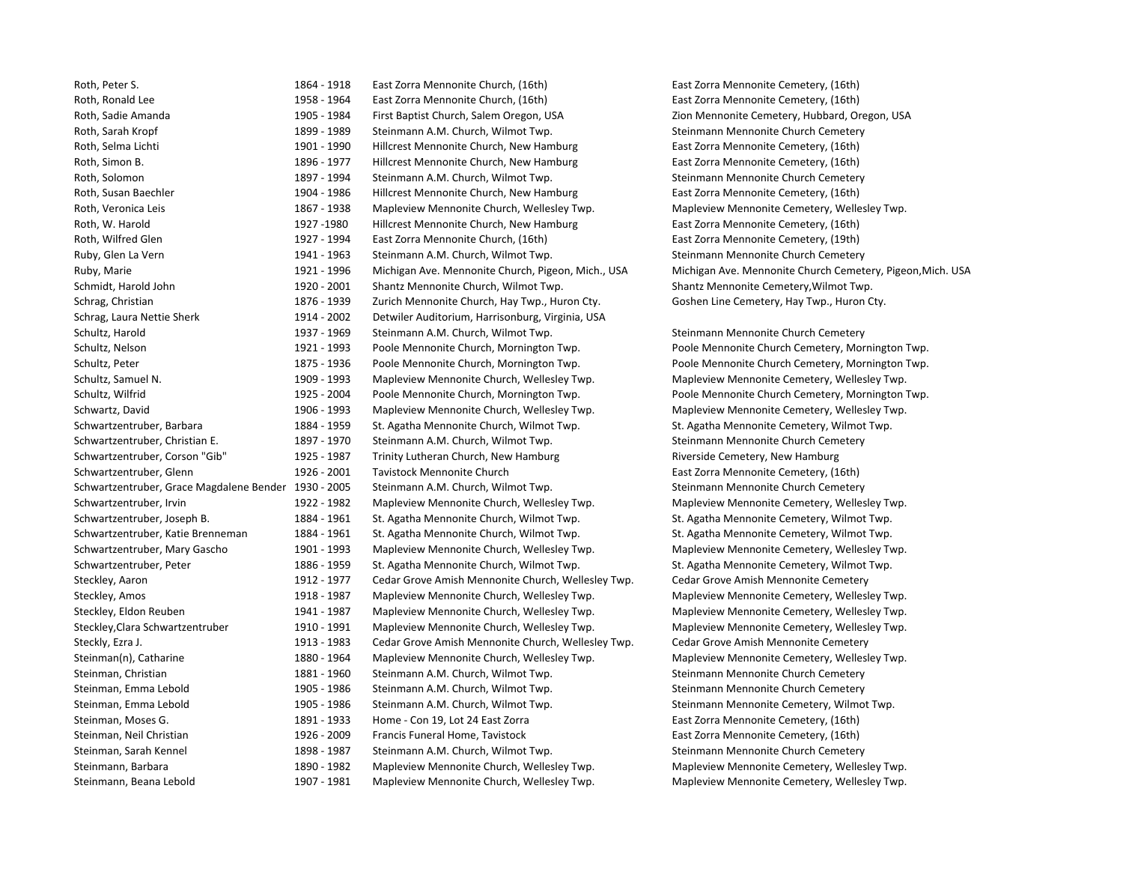| Roth, Peter S.                           | 186 |
|------------------------------------------|-----|
| Roth, Ronald Lee                         | 195 |
| Roth, Sadie Amanda                       | 190 |
| Roth, Sarah Kropf                        | 189 |
| Roth, Selma Lichti                       | 190 |
| Roth, Simon B.                           | 189 |
| Roth, Solomon                            | 189 |
| Roth, Susan Baechler                     | 190 |
| Roth, Veronica Leis                      | 186 |
| Roth, W. Harold                          | 192 |
| Roth, Wilfred Glen                       | 192 |
| Ruby, Glen La Vern                       | 194 |
| Ruby, Marie                              | 192 |
| Schmidt, Harold John                     | 192 |
| Schrag, Christian                        | 187 |
| Schrag, Laura Nettie Sherk               | 191 |
| Schultz, Harold                          | 193 |
| Schultz, Nelson                          | 192 |
| Schultz, Peter                           | 187 |
| Schultz, Samuel N.                       | 190 |
| Schultz, Wilfrid                         | 192 |
| Schwartz, David                          | 190 |
| Schwartzentruber, Barbara                | 188 |
| Schwartzentruber, Christian E.           | 189 |
| Schwartzentruber, Corson "Gib"           | 192 |
| Schwartzentruber, Glenn                  | 192 |
| Schwartzentruber, Grace Magdalene Bender | 193 |
| Schwartzentruber, Irvin                  | 192 |
| Schwartzentruber, Joseph B.              | 188 |
| Schwartzentruber, Katie Brenneman        | 188 |
| Schwartzentruber, Mary Gascho            | 190 |
| Schwartzentruber, Peter                  | 188 |
| Steckley, Aaron                          | 191 |
| Steckley, Amos                           | 191 |
| Steckley, Eldon Reuben                   | 194 |
| Steckley, Clara Schwartzentruber         | 191 |
| Steckly, Ezra J.                         | 191 |
| Steinman(n), Catharine                   | 188 |
| Steinman, Christian                      | 188 |
| Steinman, Emma Lebold                    | 190 |
| Steinman, Emma Lebold                    | 190 |
| Steinman, Moses G.                       | 189 |
| Steinman, Neil Christian                 | 192 |
| Steinman, Sarah Kennel                   | 189 |
| Steinmann, Barbara                       | 189 |
| Ctainmann Deana Lobald                   | 100 |

Roth, Peter S. 1864 ‐ 1918 East Zorra Mennonite Church, (16th) East Zorra Mennonite Cemetery, (16th) Roth, Ronald Lee 1958 ‐ 1964 East Zorra Mennonite Church, (16th) East Zorra Mennonite Cemetery, (16th) 05 - 1984 First Baptist Church, Salem Oregon, USA Zion Mennonite Cemetery, Hubbard, Oregon, USA 99 - 1989 • Steinmann A.M. Church, Wilmot Twp. Steinmann Mennonite Church Cemetery 01 - 1990 Hillcrest Mennonite Church, New Hamburg Fast Zorra Mennonite Cemetery, (16th) Roth, Simon B. 1896 **Find B. 1896 Filters Church, New Hamburg Fast Zorra Mennonite Cemetery, (16th)** 97 - 1994 Steinmann A.M. Church, Wilmot Twp. Steinmann Mennonite Church Cemetery 04 - 1986 Hillcrest Mennonite Church, New Hamburg Fast Zorra Mennonite Cemetery, (16th) 67 – 1938 Mapleview Mennonite Church, Wellesley Twp. Mapleview Mennonite Cemetery, Wellesley Twp. 27 -1980 Hillcrest Mennonite Church, New Hamburg East Zorra Mennonite Cemetery, (16th) Roth, Wilfred Glen 1927 ‐ 1994 East Zorra Mennonite Church, (16th) East Zorra Mennonite Cemetery, (19th) Au - 1963 Gleinmann A.M. Church, Wilmot Twp. Summann Steinmann Mennonite Church Cemetery Ruby, Marie 1921 ‐ 1996 Michigan Ave. Mennonite Church, Pigeon, Mich., USA Michigan Ave. Mennonite Church Cemetery, Pigeon,Mich. USA 20 - 2001 Shantz Mennonite Church, Wilmot Twp. Shantz Mennonite Cemetery, Wilmot Twp. 76 - 1939 Zurich Mennonite Church, Hay Twp., Huron Cty. Goshen Line Cemetery, Hay Twp., Huron Cty. 14 - 2002 Detwiler Auditorium, Harrisonburg, Virginia, USA 37 - 1969 Steinmann A.M. Church, Wilmot Twp. Superson Steinmann Mennonite Church Cemetery Schultz, Nelson 1921 ‐ 1993 Poole Mennonite Church, Mornington Twp. Poole Mennonite Church Cemetery, Mornington Twp. 75 - 1936 Poole Mennonite Church, Mornington Twp. **Poole Mennonite Church Cemetery, Mornington Twp.** Schultz, Samuel Mapleview Mennonite Church, Wellesley Twp. Mapleview Mennonite Cemetery, Wellesley Twp. Mapleview Mennonite Church, Wellesley Twp. 25 - 2004 Poole Mennonite Church, Mornington Twp. Poole Mennonite Church Cemetery, Mornington Twp. SG-1993 Mapleview Mennonite Church, Wellesley Twp. Mapleview Mennonite Cemetery, Wellesley Twp. Schwartzentruber, Barbara 1884 – 1959 St. Agatha Mennonite Cemetery, Wilmot Twp. St. Agatha Mennonite Cemetery, Wilmot Twp. 97 - 1970 Steinmann A.M. Church, Wilmot Twp. Steinmann Steinmann Mennonite Church Cemetery 25 – 1987 Trinity Lutheran Church, New Hamburg **Rimity Corporation Church, New Hamburg Riverside Cemetery, New Hamburg** 26 - 2001 Tavistock Mennonite Church **East Zorra Mennonite Cemetery, (16th)** Schwartzentruber, Grace Magdalene Bender 1930 **Steinmann A.M. Church, Wilmot Twp. Steinmann Mennonite Church Cemetery** 22 - 1982 – Mapleview Mennonite Church, Wellesley Twp. – Mapleview Mennonite Cemetery, Wellesley Twp. Schwartzentruber, Joseph B. 1961 C. 1964 - 1964 **St. Agatha Mennonite Cemetery, Wilmot Twp.** St. Agatha Mennonite Cemetery, Wilmot Twp. Schwartzentruber, St. Agatha Mennonite Church, Wilmot Twp. St. Agatha Mennonite Cemetery, Wilmot Twp. St. Agatha Mennonite Cemetery, Wilmot Twp. O1 - 1993 Mapleview Mennonite Church, Wellesley Twp. Mapleview Mennonite Cemetery, Wellesley Twp. 36 – 1959 **St. Agatha Mennonite Church, Wilmot Twp. St. Agatha Mennonite Cemetery, Wilmot Twp.** 12 - 1977 Cedar Grove Amish Mennonite Church, Wellesley Twp. Cedar Grove Amish Mennonite Cemetery Steckley, Amos 1918 ‐ 1987 Mapleview Mennonite Church, Wellesley Twp. Mapleview Mennonite Cemetery, Wellesley Twp. 11 - 1987 Mapleview Mennonite Church, Wellesley Twp. Napleview Mennonite Cemetery, Wellesley Twp. LO – 1991 • Mapleview Mennonite Church, Wellesley Twp. • Two Mapleview Mennonite Cemetery, Wellesley Twp. Steckly, Ezra J. 1983 **Cedar Grove Amish Mennonite Church, Wellesley Twp.** Cedar Grove Amish Mennonite Cemetery SO - 1964 Mapleview Mennonite Church, Wellesley Twp. Napleview Mennonite Cemetery, Wellesley Twp. 81 - 1960 Steinmann A.M. Church, Wilmot Twp. Summann Steinmann Mennonite Church Cemetery OS - 1986 Steinmann A.M. Church, Wilmot Twp. Steinmann Mennonite Church Cemetery OS - 1986 • Steinmann A.M. Church, Wilmot Twp. و Steinmann Mennonite Cemetery, Wilmot Twp. 91 - 1933 Home - Con 19, Lot 24 East Zorra **Mental Confluence Con 25 and Zorra East Zorra Mennonite Cemetery**, (16th) 26 - 2009 Francis Funeral Home, Tavistock East Zorra Mennonite Cemetery, (16th) 98 - 1987 • Steinmann A.M. Church, Wilmot Twp. Steinmann Mennonite Church Cemetery O - 1982 – Mapleview Mennonite Church, Wellesley Twp. – Mapleview Mennonite Cemetery, Wellesley Twp. Steinmann, Beana Lebold 1907 ‐ 1981 Mapleview Mennonite Church, Wellesley Twp. Mapleview Mennonite Cemetery, Wellesley Twp.